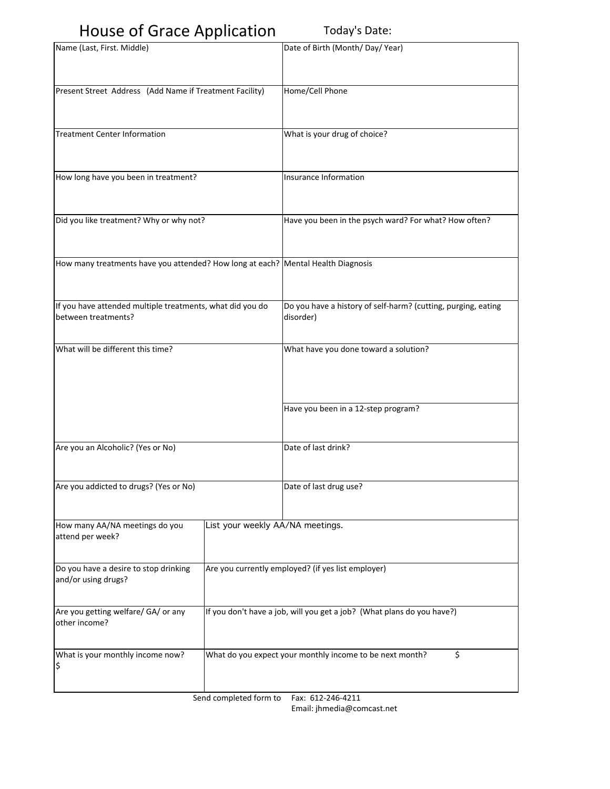## House of Grace Application Today's Date:

| $\frac{1}{2}$                                                                    |                                                                        |                                                                            |  |
|----------------------------------------------------------------------------------|------------------------------------------------------------------------|----------------------------------------------------------------------------|--|
| Name (Last, First. Middle)                                                       |                                                                        | Date of Birth (Month/Day/Year)                                             |  |
| Present Street Address (Add Name if Treatment Facility)                          |                                                                        | Home/Cell Phone                                                            |  |
| Treatment Center Information                                                     |                                                                        | What is your drug of choice?                                               |  |
| How long have you been in treatment?                                             |                                                                        | Insurance Information                                                      |  |
| Did you like treatment? Why or why not?                                          |                                                                        | Have you been in the psych ward? For what? How often?                      |  |
| How many treatments have you attended? How long at each? Mental Health Diagnosis |                                                                        |                                                                            |  |
| If you have attended multiple treatments, what did you do<br>between treatments? |                                                                        | Do you have a history of self-harm? (cutting, purging, eating<br>disorder) |  |
| What will be different this time?                                                |                                                                        | What have you done toward a solution?                                      |  |
|                                                                                  |                                                                        | Have you been in a 12-step program?                                        |  |
| Are you an Alcoholic? (Yes or No)                                                |                                                                        | Date of last drink?                                                        |  |
| Are you addicted to drugs? (Yes or No)                                           |                                                                        | Date of last drug use?                                                     |  |
| How many AA/NA meetings do you<br>attend per week?                               | List your weekly AA/NA meetings.                                       |                                                                            |  |
| Do you have a desire to stop drinking<br>and/or using drugs?                     | Are you currently employed? (if yes list employer)                     |                                                                            |  |
| Are you getting welfare/ GA/ or any<br>other income?                             | If you don't have a job, will you get a job? (What plans do you have?) |                                                                            |  |
| What is your monthly income now?<br>\$                                           |                                                                        | \$<br>What do you expect your monthly income to be next month?             |  |